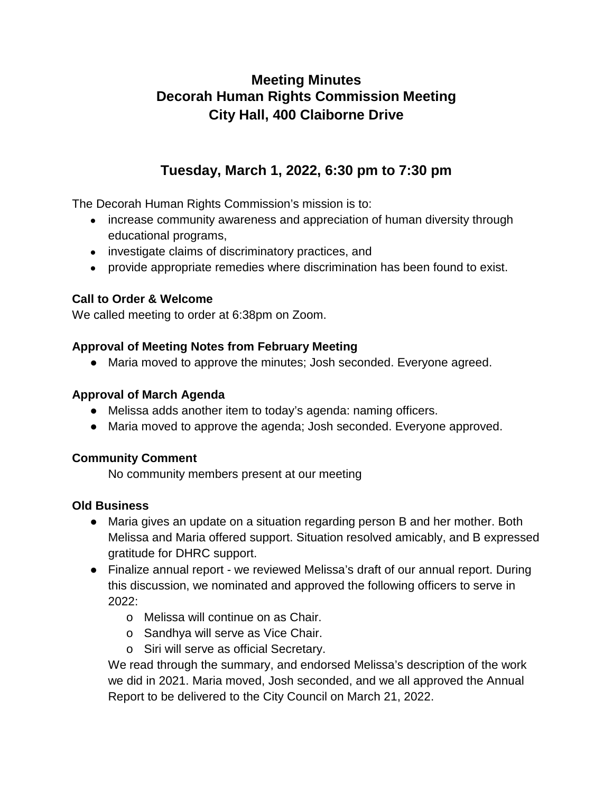# **Meeting Minutes Decorah Human Rights Commission Meeting City Hall, 400 Claiborne Drive**

# **Tuesday, March 1, 2022, 6:30 pm to 7:30 pm**

The Decorah Human Rights Commission's mission is to:

- increase community awareness and appreciation of human diversity through educational programs,
- investigate claims of discriminatory practices, and
- provide appropriate remedies where discrimination has been found to exist.

### **Call to Order & Welcome**

We called meeting to order at 6:38pm on Zoom.

#### **Approval of Meeting Notes from February Meeting**

● Maria moved to approve the minutes; Josh seconded. Everyone agreed.

#### **Approval of March Agenda**

- Melissa adds another item to today's agenda: naming officers.
- Maria moved to approve the agenda; Josh seconded. Everyone approved.

## **Community Comment**

No community members present at our meeting

#### **Old Business**

- Maria gives an update on a situation regarding person B and her mother. Both Melissa and Maria offered support. Situation resolved amicably, and B expressed gratitude for DHRC support.
- Finalize annual report we reviewed Melissa's draft of our annual report. During this discussion, we nominated and approved the following officers to serve in  $2022:$ 
	- o Melissa will continue on as Chair.
	- o Sandhya will serve as Vice Chair.
	- o Siri will serve as official Secretary.

We read through the summary, and endorsed Melissa's description of the work we did in 2021. Maria moved, Josh seconded, and we all approved the Annual Report to be delivered to the City Council on March 21, 2022.